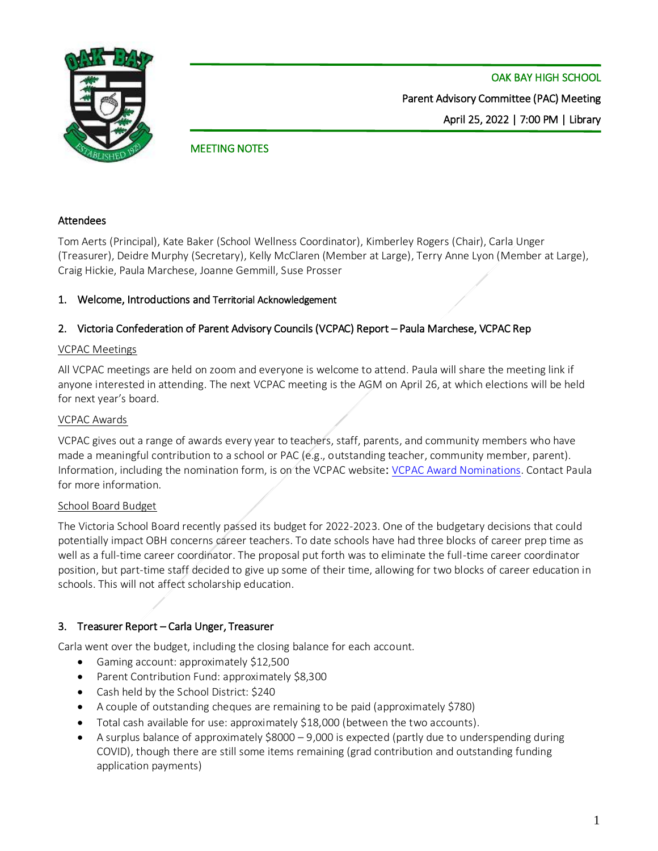

## MEETING NOTES

## Attendees

Tom Aerts (Principal), Kate Baker (School Wellness Coordinator), Kimberley Rogers (Chair), Carla Unger (Treasurer), Deidre Murphy (Secretary), Kelly McClaren (Member at Large), Terry Anne Lyon (Member at Large), Craig Hickie, Paula Marchese, Joanne Gemmill, Suse Prosser

## 1. Welcome, Introductions and Territorial Acknowledgement

## 2. Victoria Confederation of Parent Advisory Councils (VCPAC) Report – Paula Marchese, VCPAC Rep

## VCPAC Meetings

All VCPAC meetings are held on zoom and everyone is welcome to attend. Paula will share the meeting link if anyone interested in attending. The next VCPAC meeting is the AGM on April 26, at which elections will be held for next year's board.

#### VCPAC Awards

VCPAC gives out a range of awards every year to teachers, staff, parents, and community members who have made a meaningful contribution to a school or PAC (e.g., outstanding teacher, community member, parent). Information, including the nomination form, is on the VCPAC website: [VCPAC Award Nominations.](https://vcpac.ca/vcpac-news/15-vcpac-award-nominations) Contact Paula for more information.

## School Board Budget

The Victoria School Board recently passed its budget for 2022-2023. One of the budgetary decisions that could potentially impact OBH concerns career teachers. To date schools have had three blocks of career prep time as well as a full-time career coordinator. The proposal put forth was to eliminate the full-time career coordinator position, but part-time staff decided to give up some of their time, allowing for two blocks of career education in schools. This will not affect scholarship education.

## 3. Treasurer Report – Carla Unger, Treasurer

Carla went over the budget, including the closing balance for each account.

- Gaming account: approximately \$12,500
- Parent Contribution Fund: approximately \$8,300
- Cash held by the School District: \$240
- A couple of outstanding cheques are remaining to be paid (approximately \$780)
- Total cash available for use: approximately \$18,000 (between the two accounts).
- A surplus balance of approximately \$8000 9,000 is expected (partly due to underspending during COVID), though there are still some items remaining (grad contribution and outstanding funding application payments)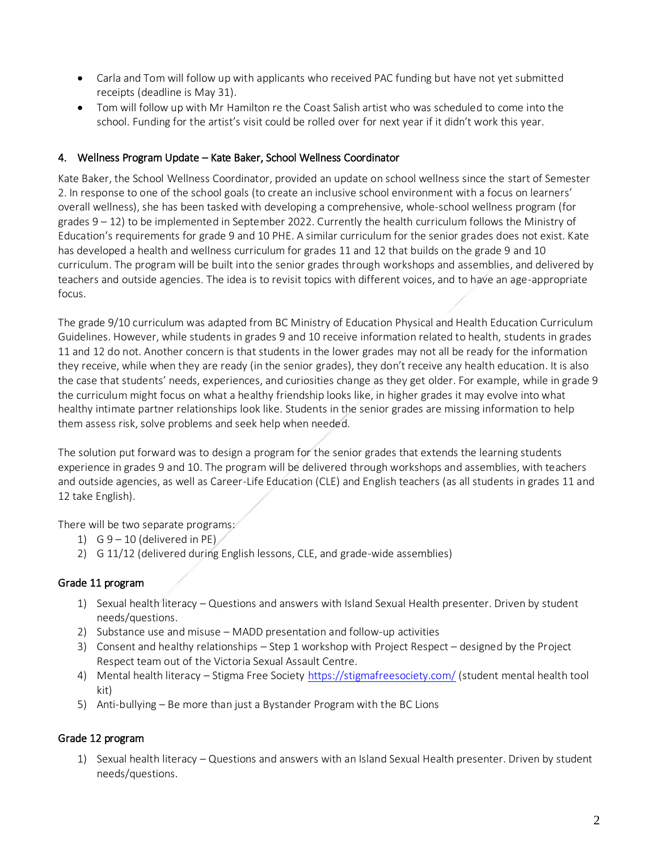- Carla and Tom will follow up with applicants who received PAC funding but have not yet submitted receipts (deadline is May 31).
- Tom will follow up with Mr Hamilton re the Coast Salish artist who was scheduled to come into the school. Funding for the artist's visit could be rolled over for next year if it didn't work this year.

## 4. Wellness Program Update – Kate Baker, School Wellness Coordinator

Kate Baker, the School Wellness Coordinator, provided an update on school wellness since the start of Semester 2. In response to one of the school goals (to create an inclusive school environment with a focus on learners' overall wellness), she has been tasked with developing a comprehensive, whole-school wellness program (for grades 9 – 12) to be implemented in September 2022. Currently the health curriculum follows the Ministry of Education's requirements for grade 9 and 10 PHE. A similar curriculum for the senior grades does not exist. Kate has developed a health and wellness curriculum for grades 11 and 12 that builds on the grade 9 and 10 curriculum. The program will be built into the senior grades through workshops and assemblies, and delivered by teachers and outside agencies. The idea is to revisit topics with different voices, and to have an age-appropriate focus.

The grade 9/10 curriculum was adapted from BC Ministry of Education Physical and Health Education Curriculum Guidelines. However, while students in grades 9 and 10 receive information related to health, students in grades 11 and 12 do not. Another concern is that students in the lower grades may not all be ready for the information they receive, while when they are ready (in the senior grades), they don't receive any health education. It is also the case that students' needs, experiences, and curiosities change as they get older. For example, while in grade 9 the curriculum might focus on what a healthy friendship looks like, in higher grades it may evolve into what healthy intimate partner relationships look like. Students in the senior grades are missing information to help them assess risk, solve problems and seek help when needed.

The solution put forward was to design a program for the senior grades that extends the learning students experience in grades 9 and 10. The program will be delivered through workshops and assemblies, with teachers and outside agencies, as well as Career-Life Education (CLE) and English teachers (as all students in grades 11 and 12 take English).

There will be two separate programs:

- 1) G  $9 10$  (delivered in PE)
- 2) G 11/12 (delivered during English lessons, CLE, and grade-wide assemblies)

# Grade 11 program

- 1) Sexual health literacy Questions and answers with Island Sexual Health presenter. Driven by student needs/questions.
- 2) Substance use and misuse MADD presentation and follow-up activities
- 3) Consent and healthy relationships Step 1 workshop with Project Respect designed by the Project Respect team out of the Victoria Sexual Assault Centre.
- 4) Mental health literacy Stigma Free Society<https://stigmafreesociety.com/> (student mental health tool kit)
- 5) Anti-bullying Be more than just a Bystander Program with the BC Lions

# Grade 12 program

1) Sexual health literacy – Questions and answers with an Island Sexual Health presenter. Driven by student needs/questions.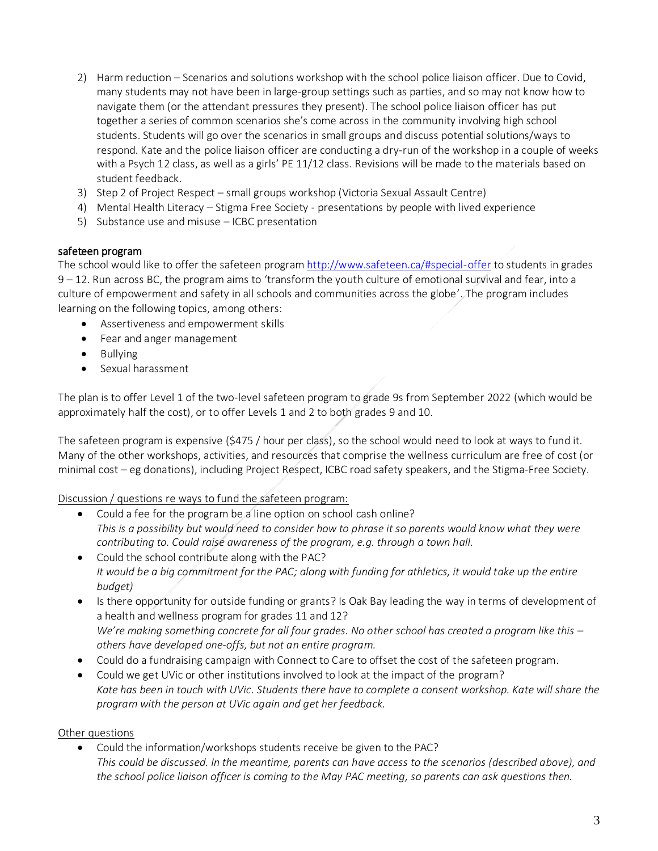- 2) Harm reduction Scenarios and solutions workshop with the school police liaison officer. Due to Covid, many students may not have been in large-group settings such as parties, and so may not know how to navigate them (or the attendant pressures they present). The school police liaison officer has put together a series of common scenarios she's come across in the community involving high school students. Students will go over the scenarios in small groups and discuss potential solutions/ways to respond. Kate and the police liaison officer are conducting a dry-run of the workshop in a couple of weeks with a Psych 12 class, as well as a girls' PE 11/12 class. Revisions will be made to the materials based on student feedback.
- 3) Step 2 of Project Respect small groups workshop (Victoria Sexual Assault Centre)
- 4) Mental Health Literacy Stigma Free Society presentations by people with lived experience
- 5) Substance use and misuse ICBC presentation

#### safeteen program

The school would like to offer the safeteen program <http://www.safeteen.ca/#special-offer> to students in grades 9 – 12. Run across BC, the program aims to 'transform the youth culture of emotional survival and fear, into a culture of empowerment and safety in all schools and communities across the globe'. The program includes learning on the following topics, among others:

- Assertiveness and empowerment skills
- Fear and anger management
- Bullying
- Sexual harassment

The plan is to offer Level 1 of the two-level safeteen program to grade 9s from September 2022 (which would be approximately half the cost), or to offer Levels 1 and 2 to both grades 9 and 10.

The safeteen program is expensive (\$475 / hour per class), so the school would need to look at ways to fund it. Many of the other workshops, activities, and resources that comprise the wellness curriculum are free of cost (or minimal cost – eg donations), including Project Respect, ICBC road safety speakers, and the Stigma-Free Society.

Discussion / questions re ways to fund the safeteen program:

- Could a fee for the program be a line option on school cash online? *This is a possibility but would need to consider how to phrase it so parents would know what they were contributing to. Could raise awareness of the program, e.g. through a town hall.*
- Could the school contribute along with the PAC? *It would be a big commitment for the PAC; along with funding for athletics, it would take up the entire budget)*
- Is there opportunity for outside funding or grants? Is Oak Bay leading the way in terms of development of a health and wellness program for grades 11 and 12? *We're making something concrete for all four grades. No other school has created a program like this – others have developed one-offs, but not an entire program.*
- Could do a fundraising campaign with Connect to Care to offset the cost of the safeteen program.
- Could we get UVic or other institutions involved to look at the impact of the program? *Kate has been in touch with UVic. Students there have to complete a consent workshop. Kate will share the program with the person at UVic again and get her feedback.*

#### Other questions

• Could the information/workshops students receive be given to the PAC? *This could be discussed. In the meantime, parents can have access to the scenarios (described above), and the school police liaison officer is coming to the May PAC meeting, so parents can ask questions then.*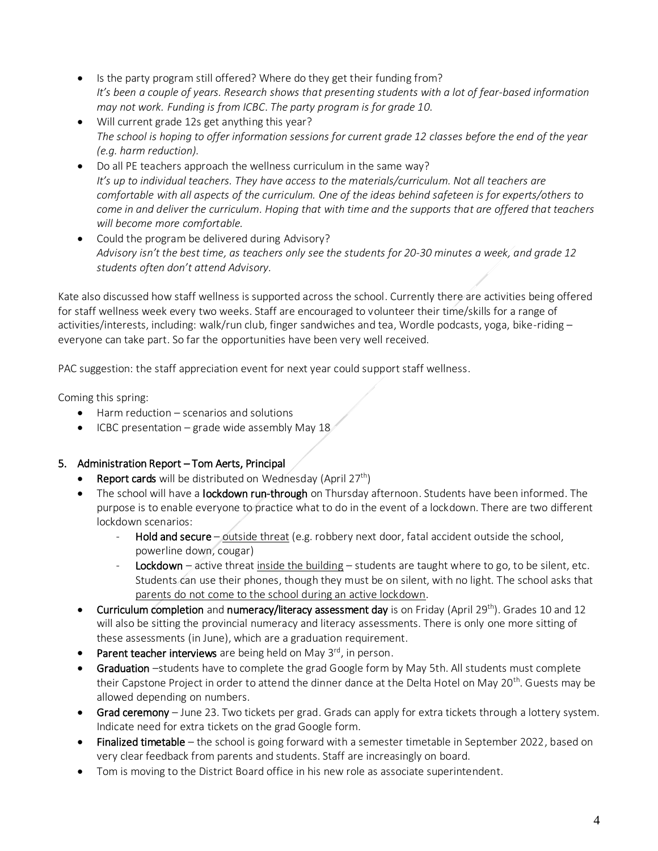- Is the party program still offered? Where do they get their funding from? *It's been a couple of years. Research shows that presenting students with a lot of fear-based information may not work. Funding is from ICBC*. *The party program is for grade 10.*
- Will current grade 12s get anything this year? *The school is hoping to offer information sessions for current grade 12 classes before the end of the year (e.g. harm reduction).*
- Do all PE teachers approach the wellness curriculum in the same way? *It's up to individual teachers. They have access to the materials/curriculum. Not all teachers are comfortable with all aspects of the curriculum. One of the ideas behind safeteen is for experts/others to come in and deliver the curriculum. Hoping that with time and the supports that are offered that teachers will become more comfortable.*
- Could the program be delivered during Advisory? *Advisory isn't the best time, as teachers only see the students for 20-30 minutes a week, and grade 12 students often don't attend Advisory.*

Kate also discussed how staff wellness is supported across the school. Currently there are activities being offered for staff wellness week every two weeks. Staff are encouraged to volunteer their time/skills for a range of activities/interests, including: walk/run club, finger sandwiches and tea, Wordle podcasts, yoga, bike-riding – everyone can take part. So far the opportunities have been very well received.

PAC suggestion: the staff appreciation event for next year could support staff wellness.

Coming this spring:

- Harm reduction scenarios and solutions
- ICBC presentation grade wide assembly May 18

# 5. Administration Report – Tom Aerts, Principal

- **Report cards** will be distributed on Wednesday (April  $27<sup>th</sup>$ )
- The school will have a lockdown run-through on Thursday afternoon. Students have been informed. The purpose is to enable everyone to practice what to do in the event of a lockdown. There are two different lockdown scenarios:
	- Hold and secure outside threat (e.g. robbery next door, fatal accident outside the school, powerline down, cougar)
	- Lockdown active threat inside the building students are taught where to go, to be silent, etc. Students can use their phones, though they must be on silent, with no light. The school asks that parents do not come to the school during an active lockdown.
- Curriculum completion and numeracy/literacy assessment day is on Friday (April 29<sup>th</sup>). Grades 10 and 12 will also be sitting the provincial numeracy and literacy assessments. There is only one more sitting of these assessments (in June), which are a graduation requirement.
- Parent teacher interviews are being held on May  $3^{rd}$ , in person.
- Graduation -students have to complete the grad Google form by May 5th. All students must complete their Capstone Project in order to attend the dinner dance at the Delta Hotel on May 20<sup>th</sup>. Guests may be allowed depending on numbers.
- Grad ceremony June 23. Two tickets per grad. Grads can apply for extra tickets through a lottery system. Indicate need for extra tickets on the grad Google form.
- $\bullet$  Finalized timetable the school is going forward with a semester timetable in September 2022, based on very clear feedback from parents and students. Staff are increasingly on board.
- Tom is moving to the District Board office in his new role as associate superintendent.